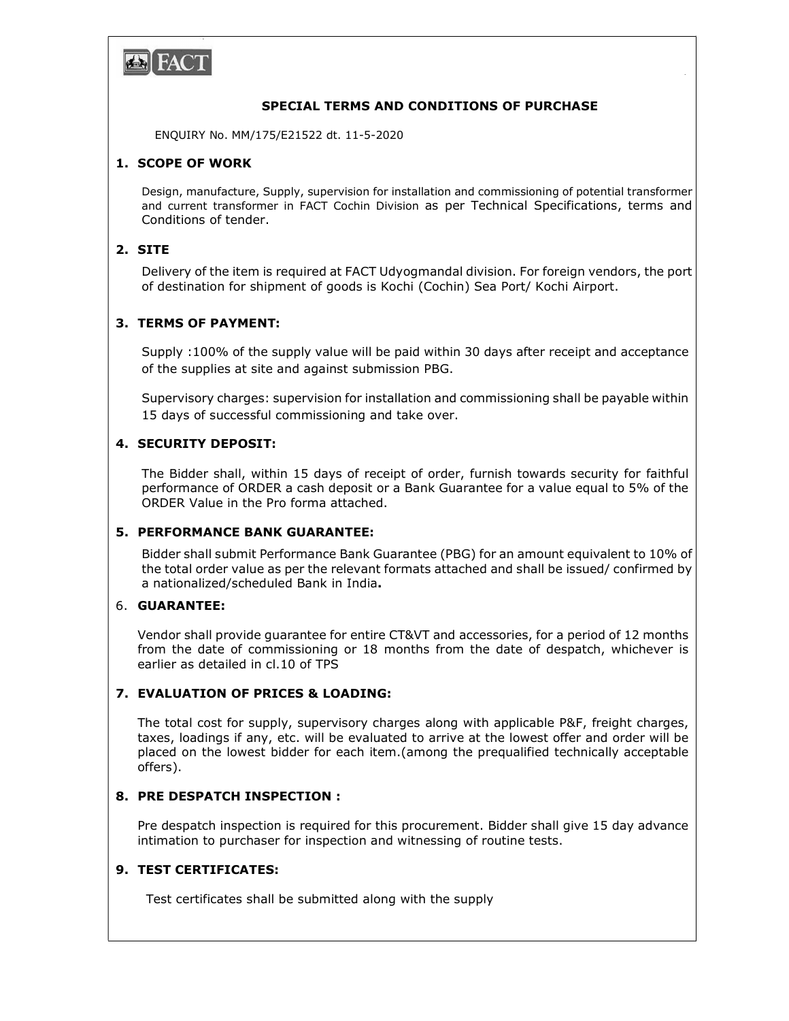

### SPECIAL TERMS AND CONDITIONS OF PURCHASE

Page 1

ENQUIRY No. MM/175/E21522 dt. 11-5-2020

## 1. SCOPE OF WORK

Design, manufacture, Supply, supervision for installation and commissioning of potential transformer and current transformer in FACT Cochin Division as per Technical Specifications, terms and Conditions of tender.

## 2. SITE

 Delivery of the item is required at FACT Udyogmandal division. For foreign vendors, the port of destination for shipment of goods is Kochi (Cochin) Sea Port/ Kochi Airport.

## 3. TERMS OF PAYMENT:

Supply :100% of the supply value will be paid within 30 days after receipt and acceptance of the supplies at site and against submission PBG.

Supervisory charges: supervision for installation and commissioning shall be payable within 15 days of successful commissioning and take over.

### 4. SECURITY DEPOSIT:

The Bidder shall, within 15 days of receipt of order, furnish towards security for faithful performance of ORDER a cash deposit or a Bank Guarantee for a value equal to 5% of the ORDER Value in the Pro forma attached.

### 5. PERFORMANCE BANK GUARANTEE:

Bidder shall submit Performance Bank Guarantee (PBG) for an amount equivalent to 10% of the total order value as per the relevant formats attached and shall be issued/ confirmed by a nationalized/scheduled Bank in India.

#### 6. GUARANTEE:

Vendor shall provide guarantee for entire CT&VT and accessories, for a period of 12 months from the date of commissioning or 18 months from the date of despatch, whichever is earlier as detailed in cl.10 of TPS

## 7. EVALUATION OF PRICES & LOADING:

The total cost for supply, supervisory charges along with applicable P&F, freight charges, taxes, loadings if any, etc. will be evaluated to arrive at the lowest offer and order will be placed on the lowest bidder for each item.(among the prequalified technically acceptable offers).

# 8. PRE DESPATCH INSPECTION :

Pre despatch inspection is required for this procurement. Bidder shall give 15 day advance intimation to purchaser for inspection and witnessing of routine tests.

#### 9. TEST CERTIFICATES:

Test certificates shall be submitted along with the supply